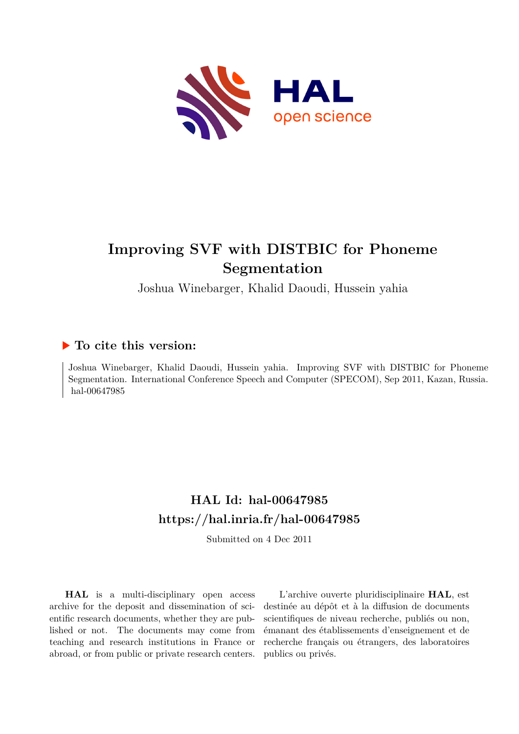

# **Improving SVF with DISTBIC for Phoneme Segmentation**

Joshua Winebarger, Khalid Daoudi, Hussein yahia

## **To cite this version:**

Joshua Winebarger, Khalid Daoudi, Hussein yahia. Improving SVF with DISTBIC for Phoneme Segmentation. International Conference Speech and Computer (SPECOM), Sep 2011, Kazan, Russia. hal-00647985

# **HAL Id: hal-00647985 <https://hal.inria.fr/hal-00647985>**

Submitted on 4 Dec 2011

**HAL** is a multi-disciplinary open access archive for the deposit and dissemination of scientific research documents, whether they are published or not. The documents may come from teaching and research institutions in France or abroad, or from public or private research centers.

L'archive ouverte pluridisciplinaire **HAL**, est destinée au dépôt et à la diffusion de documents scientifiques de niveau recherche, publiés ou non, émanant des établissements d'enseignement et de recherche français ou étrangers, des laboratoires publics ou privés.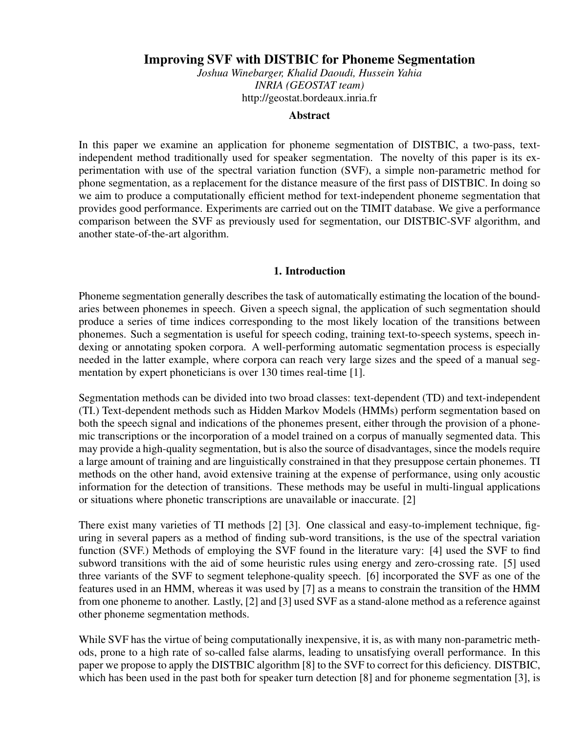### Improving SVF with DISTBIC for Phoneme Segmentation

*Joshua Winebarger, Khalid Daoudi, Hussein Yahia INRIA (GEOSTAT team)* http://geostat.bordeaux.inria.fr

#### **Abstract**

In this paper we examine an application for phoneme segmentation of DISTBIC, a two-pass, textindependent method traditionally used for speaker segmentation. The novelty of this paper is its experimentation with use of the spectral variation function (SVF), a simple non-parametric method for phone segmentation, as a replacement for the distance measure of the first pass of DISTBIC. In doing so we aim to produce a computationally efficient method for text-independent phoneme segmentation that provides good performance. Experiments are carried out on the TIMIT database. We give a performance comparison between the SVF as previously used for segmentation, our DISTBIC-SVF algorithm, and another state-of-the-art algorithm.

#### 1. Introduction

Phoneme segmentation generally describes the task of automatically estimating the location of the boundaries between phonemes in speech. Given a speech signal, the application of such segmentation should produce a series of time indices corresponding to the most likely location of the transitions between phonemes. Such a segmentation is useful for speech coding, training text-to-speech systems, speech indexing or annotating spoken corpora. A well-performing automatic segmentation process is especially needed in the latter example, where corpora can reach very large sizes and the speed of a manual segmentation by expert phoneticians is over 130 times real-time [1].

Segmentation methods can be divided into two broad classes: text-dependent (TD) and text-independent (TI.) Text-dependent methods such as Hidden Markov Models (HMMs) perform segmentation based on both the speech signal and indications of the phonemes present, either through the provision of a phonemic transcriptions or the incorporation of a model trained on a corpus of manually segmented data. This may provide a high-quality segmentation, but is also the source of disadvantages, since the models require a large amount of training and are linguistically constrained in that they presuppose certain phonemes. TI methods on the other hand, avoid extensive training at the expense of performance, using only acoustic information for the detection of transitions. These methods may be useful in multi-lingual applications or situations where phonetic transcriptions are unavailable or inaccurate. [2]

There exist many varieties of TI methods [2] [3]. One classical and easy-to-implement technique, figuring in several papers as a method of finding sub-word transitions, is the use of the spectral variation function (SVF.) Methods of employing the SVF found in the literature vary: [4] used the SVF to find subword transitions with the aid of some heuristic rules using energy and zero-crossing rate. [5] used three variants of the SVF to segment telephone-quality speech. [6] incorporated the SVF as one of the features used in an HMM, whereas it was used by [7] as a means to constrain the transition of the HMM from one phoneme to another. Lastly, [2] and [3] used SVF as a stand-alone method as a reference against other phoneme segmentation methods.

While SVF has the virtue of being computationally inexpensive, it is, as with many non-parametric methods, prone to a high rate of so-called false alarms, leading to unsatisfying overall performance. In this paper we propose to apply the DISTBIC algorithm [8] to the SVF to correct for this deficiency. DISTBIC, which has been used in the past both for speaker turn detection [8] and for phoneme segmentation [3], is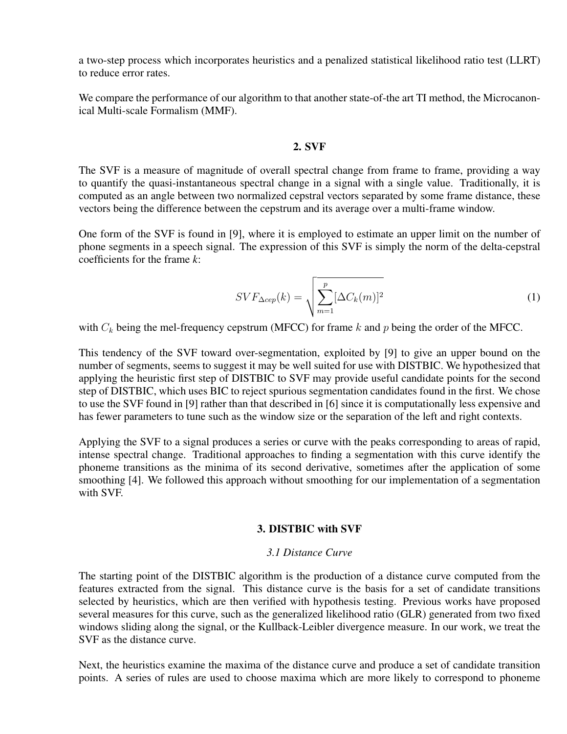a two-step process which incorporates heuristics and a penalized statistical likelihood ratio test (LLRT) to reduce error rates.

We compare the performance of our algorithm to that another state-of-the art TI method, the Microcanonical Multi-scale Formalism (MMF).

#### 2. SVF

The SVF is a measure of magnitude of overall spectral change from frame to frame, providing a way to quantify the quasi-instantaneous spectral change in a signal with a single value. Traditionally, it is computed as an angle between two normalized cepstral vectors separated by some frame distance, these vectors being the difference between the cepstrum and its average over a multi-frame window.

One form of the SVF is found in [9], where it is employed to estimate an upper limit on the number of phone segments in a speech signal. The expression of this SVF is simply the norm of the delta-cepstral coefficients for the frame *k*:

$$
SVF_{\Delta cep}(k) = \sqrt{\sum_{m=1}^{p} [\Delta C_k(m)]^2}
$$
 (1)

with  $C_k$  being the mel-frequency cepstrum (MFCC) for frame k and p being the order of the MFCC.

This tendency of the SVF toward over-segmentation, exploited by [9] to give an upper bound on the number of segments, seems to suggest it may be well suited for use with DISTBIC. We hypothesized that applying the heuristic first step of DISTBIC to SVF may provide useful candidate points for the second step of DISTBIC, which uses BIC to reject spurious segmentation candidates found in the first. We chose to use the SVF found in [9] rather than that described in [6] since it is computationally less expensive and has fewer parameters to tune such as the window size or the separation of the left and right contexts.

Applying the SVF to a signal produces a series or curve with the peaks corresponding to areas of rapid, intense spectral change. Traditional approaches to finding a segmentation with this curve identify the phoneme transitions as the minima of its second derivative, sometimes after the application of some smoothing [4]. We followed this approach without smoothing for our implementation of a segmentation with SVF.

#### 3. DISTBIC with SVF

#### *3.1 Distance Curve*

The starting point of the DISTBIC algorithm is the production of a distance curve computed from the features extracted from the signal. This distance curve is the basis for a set of candidate transitions selected by heuristics, which are then verified with hypothesis testing. Previous works have proposed several measures for this curve, such as the generalized likelihood ratio (GLR) generated from two fixed windows sliding along the signal, or the Kullback-Leibler divergence measure. In our work, we treat the SVF as the distance curve.

Next, the heuristics examine the maxima of the distance curve and produce a set of candidate transition points. A series of rules are used to choose maxima which are more likely to correspond to phoneme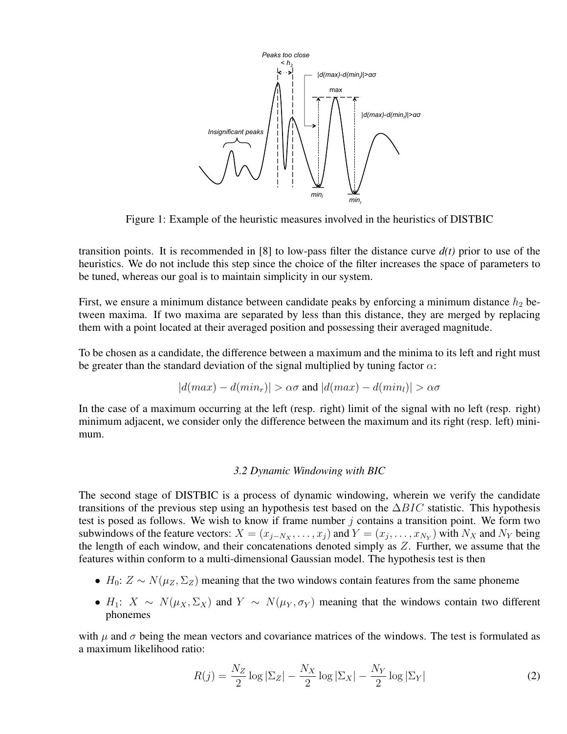

Figure 1: Example of the heuristic measures involved in the heuristics of DISTBIC

transition points. It is recommended in [8] to low-pass filter the distance curve *d(t)* prior to use of the heuristics. We do not include this step since the choice of the filter increases the space of parameters to be tuned, whereas our goal is to maintain simplicity in our system.

First, we ensure a minimum distance between candidate peaks by enforcing a minimum distance  $h_2$  between maxima. If two maxima are separated by less than this distance, they are merged by replacing them with a point located at their averaged position and possessing their averaged magnitude.

To be chosen as a candidate, the difference between a maximum and the minima to its left and right must be greater than the standard deviation of the signal multiplied by tuning factor  $\alpha$ :

$$
|d(max) - d(min_r)| > \alpha\sigma \text{ and } |d(max) - d(min_l)| > \alpha\sigma
$$

In the case of a maximum occurring at the left (resp. right) limit of the signal with no left (resp. right) minimum adjacent, we consider only the difference between the maximum and its right (resp. left) minimum.

#### *3.2 Dynamic Windowing with BIC*

The second stage of DISTBIC is a process of dynamic windowing, wherein we verify the candidate transitions of the previous step using an hypothesis test based on the  $\Delta BIC$  statistic. This hypothesis test is posed as follows. We wish to know if frame number  $j$  contains a transition point. We form two subwindows of the feature vectors:  $X = (x_{j-N_X}, \ldots, x_j)$  and  $Y = (x_j, \ldots, x_{N_Y})$  with  $N_X$  and  $N_Y$  being the length of each window, and their concatenations denoted simply as Z. Further, we assume that the features within conform to a multi-dimensional Gaussian model. The hypothesis test is then

- $H_0: Z \sim N(\mu_Z, \Sigma_Z)$  meaning that the two windows contain features from the same phoneme
- $H_1: X \sim N(\mu_X, \Sigma_X)$  and  $Y \sim N(\mu_Y, \sigma_Y)$  meaning that the windows contain two different phonemes

with  $\mu$  and  $\sigma$  being the mean vectors and covariance matrices of the windows. The test is formulated as a maximum likelihood ratio:

$$
R(j) = \frac{N_Z}{2} \log |\Sigma_Z| - \frac{N_X}{2} \log |\Sigma_X| - \frac{N_Y}{2} \log |\Sigma_Y|
$$
 (2)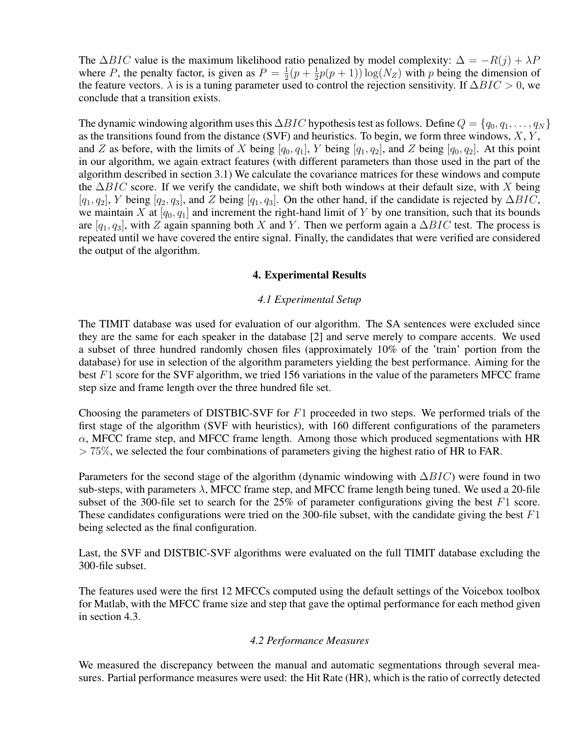The  $\Delta BIC$  value is the maximum likelihood ratio penalized by model complexity:  $\Delta = -R(j) + \lambda P$ where P, the penalty factor, is given as  $P = \frac{1}{2}(p + \frac{1}{2}p(p + 1)) \log(N_Z)$  with p being the dimension of the feature vectors.  $\lambda$  is is a tuning parameter used to control the rejection sensitivity. If  $\Delta BIC > 0$ , we conclude that a transition exists.

The dynamic windowing algorithm uses this  $\Delta BIC$  hypothesis test as follows. Define  $Q = \{q_0, q_1, \ldots, q_N\}$ as the transitions found from the distance (SVF) and heuristics. To begin, we form three windows,  $X, Y$ , and Z as before, with the limits of X being  $[q_0, q_1]$ , Y being  $[q_1, q_2]$ , and Z being  $[q_0, q_2]$ . At this point in our algorithm, we again extract features (with different parameters than those used in the part of the algorithm described in section 3.1) We calculate the covariance matrices for these windows and compute the  $\Delta BIC$  score. If we verify the candidate, we shift both windows at their default size, with X being  $[q_1, q_2]$ , Y being  $[q_2, q_3]$ , and Z being  $[q_1, q_3]$ . On the other hand, if the candidate is rejected by  $\Delta BIC$ , we maintain X at  $[q_0, q_1]$  and increment the right-hand limit of Y by one transition, such that its bounds are  $[q_1, q_3]$ , with Z again spanning both X and Y. Then we perform again a ∆BIC test. The process is repeated until we have covered the entire signal. Finally, the candidates that were verified are considered the output of the algorithm.

#### 4. Experimental Results

#### *4.1 Experimental Setup*

The TIMIT database was used for evaluation of our algorithm. The SA sentences were excluded since they are the same for each speaker in the database [2] and serve merely to compare accents. We used a subset of three hundred randomly chosen files (approximately 10% of the 'train' portion from the database) for use in selection of the algorithm parameters yielding the best performance. Aiming for the best F1 score for the SVF algorithm, we tried 156 variations in the value of the parameters MFCC frame step size and frame length over the three hundred file set.

Choosing the parameters of DISTBIC-SVF for  $F1$  proceeded in two steps. We performed trials of the first stage of the algorithm (SVF with heuristics), with 160 different configurations of the parameters  $\alpha$ , MFCC frame step, and MFCC frame length. Among those which produced segmentations with HR  $> 75\%$ , we selected the four combinations of parameters giving the highest ratio of HR to FAR.

Parameters for the second stage of the algorithm (dynamic windowing with  $\Delta BIC$ ) were found in two sub-steps, with parameters  $\lambda$ , MFCC frame step, and MFCC frame length being tuned. We used a 20-file subset of the 300-file set to search for the  $25\%$  of parameter configurations giving the best  $F1$  score. These candidates configurations were tried on the 300-file subset, with the candidate giving the best  $F1$ being selected as the final configuration.

Last, the SVF and DISTBIC-SVF algorithms were evaluated on the full TIMIT database excluding the 300-file subset.

The features used were the first 12 MFCCs computed using the default settings of the Voicebox toolbox for Matlab, with the MFCC frame size and step that gave the optimal performance for each method given in section 4.3.

#### *4.2 Performance Measures*

We measured the discrepancy between the manual and automatic segmentations through several measures. Partial performance measures were used: the Hit Rate (HR), which is the ratio of correctly detected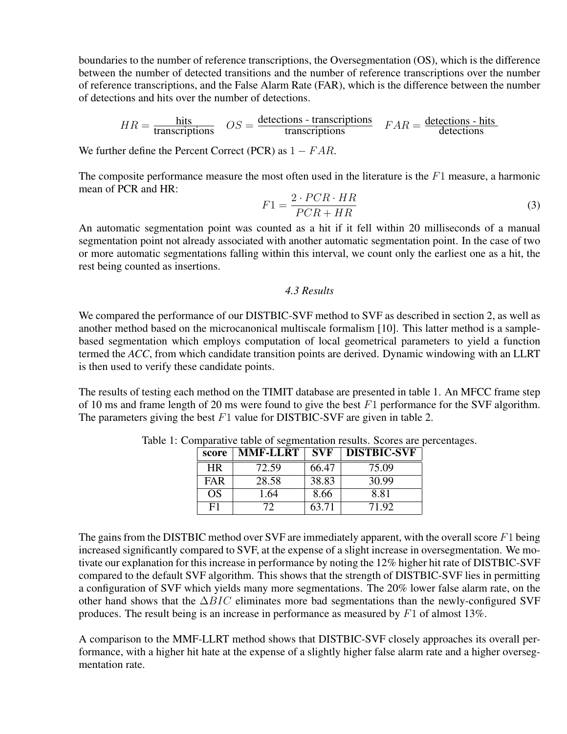boundaries to the number of reference transcriptions, the Oversegmentation (OS), which is the difference between the number of detected transitions and the number of reference transcriptions over the number of reference transcriptions, and the False Alarm Rate (FAR), which is the difference between the number of detections and hits over the number of detections.

$$
HR = \frac{\text{hits}}{\text{transcriptions}} \quad OS = \frac{\text{detections - transcriptions}}{\text{transcriptions}} \quad FAR = \frac{\text{detections - hits}}{\text{detections}}
$$

We further define the Percent Correct (PCR) as  $1 - FAR$ .

The composite performance measure the most often used in the literature is the  $F_1$  measure, a harmonic mean of PCR and HR:

$$
F1 = \frac{2 \cdot PCR \cdot HR}{PCR + HR} \tag{3}
$$

An automatic segmentation point was counted as a hit if it fell within 20 milliseconds of a manual segmentation point not already associated with another automatic segmentation point. In the case of two or more automatic segmentations falling within this interval, we count only the earliest one as a hit, the rest being counted as insertions.

### *4.3 Results*

We compared the performance of our DISTBIC-SVF method to SVF as described in section 2, as well as another method based on the microcanonical multiscale formalism [10]. This latter method is a samplebased segmentation which employs computation of local geometrical parameters to yield a function termed the *ACC*, from which candidate transition points are derived. Dynamic windowing with an LLRT is then used to verify these candidate points.

The results of testing each method on the TIMIT database are presented in table 1. An MFCC frame step of 10 ms and frame length of 20 ms were found to give the best  $F1$  performance for the SVF algorithm. The parameters giving the best  $F1$  value for DISTBIC-SVF are given in table 2.

| score      | MMF-LLRT | <b>SVF</b> | <b>DISTBIC-SVF</b> |
|------------|----------|------------|--------------------|
| HR.        | 72.59    | 66.47      | 75.09              |
| <b>FAR</b> | 28.58    | 38.83      | 30.99              |
| OS         | 1.64     | 8.66       | 8.81               |
| F1         | 72       | 63.71      | 71.92              |

Table 1: Comparative table of segmentation results. Scores are percentages.

The gains from the DISTBIC method over SVF are immediately apparent, with the overall score  $F_1$  being increased significantly compared to SVF, at the expense of a slight increase in oversegmentation. We motivate our explanation for this increase in performance by noting the 12% higher hit rate of DISTBIC-SVF compared to the default SVF algorithm. This shows that the strength of DISTBIC-SVF lies in permitting a configuration of SVF which yields many more segmentations. The 20% lower false alarm rate, on the other hand shows that the  $\Delta BIC$  eliminates more bad segmentations than the newly-configured SVF produces. The result being is an increase in performance as measured by  $F1$  of almost 13%.

A comparison to the MMF-LLRT method shows that DISTBIC-SVF closely approaches its overall performance, with a higher hit hate at the expense of a slightly higher false alarm rate and a higher oversegmentation rate.